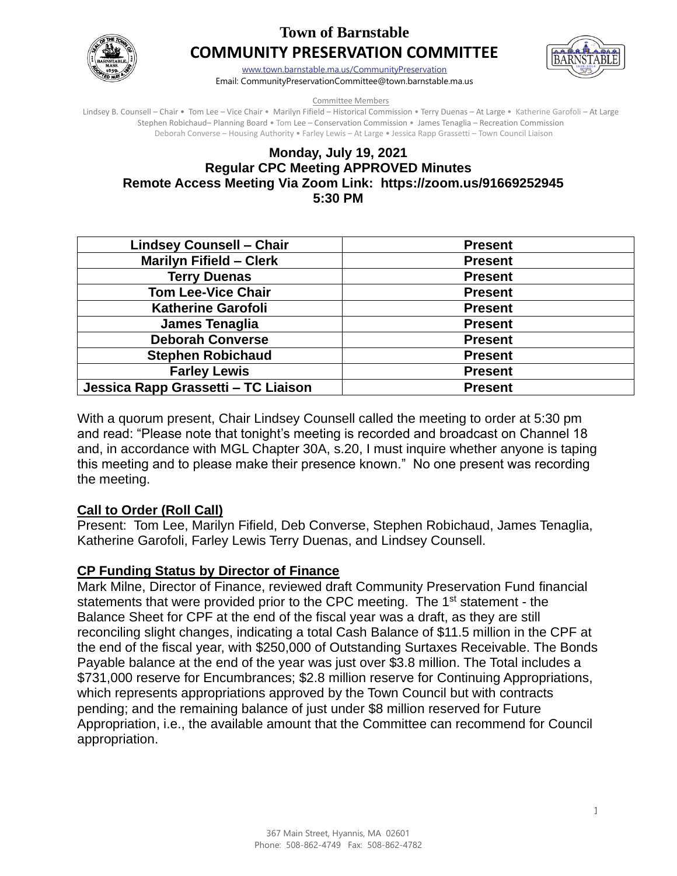

# **Town of Barnstable COMMUNITY PRESERVATION COMMITTEE**



[www.town.barnstable.ma.us/CommunityPreservation](http://www.town.barnstable.ma.us/CommunityPreservation) Email: CommunityPreservationCommittee@town.barnstable.ma.us

Committee Members

Lindsey B. Counsell – Chair • Tom Lee – Vice Chair • Marilyn Fifield – Historical Commission • Terry Duenas – At Large • Katherine Garofoli – At Large Stephen Robichaud– Planning Board • Tom Lee – Conservation Commission • James Tenaglia – Recreation Commission Deborah Converse – Housing Authority • Farley Lewis – At Large • Jessica Rapp Grassetti – Town Council Liaison

## **Monday, July 19, 2021 Regular CPC Meeting APPROVED Minutes Remote Access Meeting Via Zoom Link: https://zoom.us/91669252945 5:30 PM**

| <b>Lindsey Counsell - Chair</b>     | <b>Present</b> |
|-------------------------------------|----------------|
| <b>Marilyn Fifield - Clerk</b>      | <b>Present</b> |
| <b>Terry Duenas</b>                 | <b>Present</b> |
| <b>Tom Lee-Vice Chair</b>           | <b>Present</b> |
| <b>Katherine Garofoli</b>           | <b>Present</b> |
| James Tenaglia                      | <b>Present</b> |
| <b>Deborah Converse</b>             | <b>Present</b> |
| <b>Stephen Robichaud</b>            | <b>Present</b> |
| <b>Farley Lewis</b>                 | <b>Present</b> |
| Jessica Rapp Grassetti - TC Liaison | <b>Present</b> |

With a quorum present, Chair Lindsey Counsell called the meeting to order at 5:30 pm and read: "Please note that tonight's meeting is recorded and broadcast on Channel 18 and, in accordance with MGL Chapter 30A, s.20, I must inquire whether anyone is taping this meeting and to please make their presence known." No one present was recording the meeting.

# **Call to Order (Roll Call)**

Present: Tom Lee, Marilyn Fifield, Deb Converse, Stephen Robichaud, James Tenaglia, Katherine Garofoli, Farley Lewis Terry Duenas, and Lindsey Counsell.

# **CP Funding Status by Director of Finance**

Mark Milne, Director of Finance, reviewed draft Community Preservation Fund financial statements that were provided prior to the CPC meeting. The 1<sup>st</sup> statement - the Balance Sheet for CPF at the end of the fiscal year was a draft, as they are still reconciling slight changes, indicating a total Cash Balance of \$11.5 million in the CPF at the end of the fiscal year, with \$250,000 of Outstanding Surtaxes Receivable. The Bonds Payable balance at the end of the year was just over \$3.8 million. The Total includes a \$731,000 reserve for Encumbrances; \$2.8 million reserve for Continuing Appropriations, which represents appropriations approved by the Town Council but with contracts pending; and the remaining balance of just under \$8 million reserved for Future Appropriation, i.e., the available amount that the Committee can recommend for Council appropriation.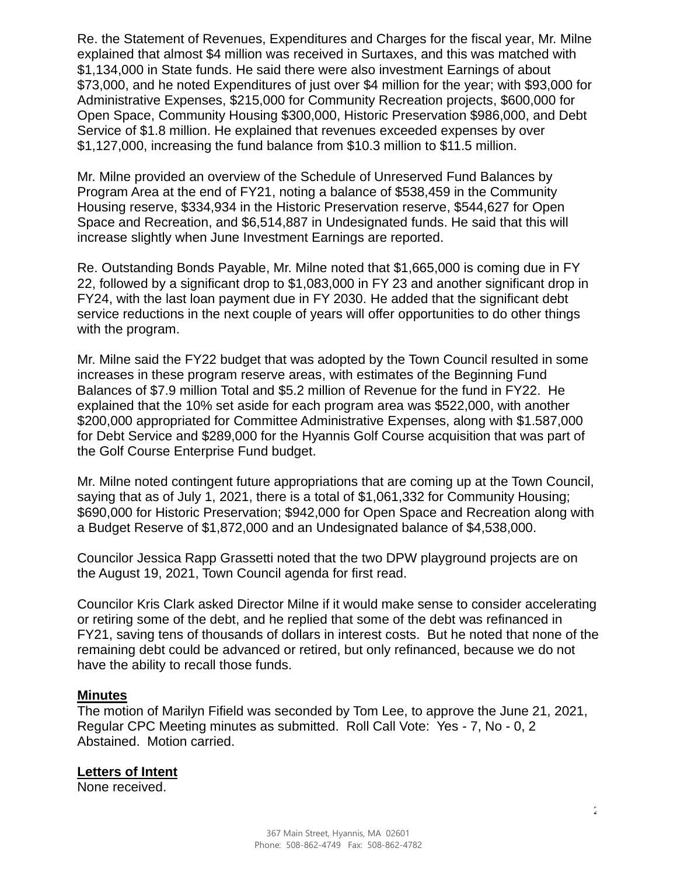Re. the Statement of Revenues, Expenditures and Charges for the fiscal year, Mr. Milne explained that almost \$4 million was received in Surtaxes, and this was matched with \$1,134,000 in State funds. He said there were also investment Earnings of about \$73,000, and he noted Expenditures of just over \$4 million for the year; with \$93,000 for Administrative Expenses, \$215,000 for Community Recreation projects, \$600,000 for Open Space, Community Housing \$300,000, Historic Preservation \$986,000, and Debt Service of \$1.8 million. He explained that revenues exceeded expenses by over \$1,127,000, increasing the fund balance from \$10.3 million to \$11.5 million.

Mr. Milne provided an overview of the Schedule of Unreserved Fund Balances by Program Area at the end of FY21, noting a balance of \$538,459 in the Community Housing reserve, \$334,934 in the Historic Preservation reserve, \$544,627 for Open Space and Recreation, and \$6,514,887 in Undesignated funds. He said that this will increase slightly when June Investment Earnings are reported.

Re. Outstanding Bonds Payable, Mr. Milne noted that \$1,665,000 is coming due in FY 22, followed by a significant drop to \$1,083,000 in FY 23 and another significant drop in FY24, with the last loan payment due in FY 2030. He added that the significant debt service reductions in the next couple of years will offer opportunities to do other things with the program.

Mr. Milne said the FY22 budget that was adopted by the Town Council resulted in some increases in these program reserve areas, with estimates of the Beginning Fund Balances of \$7.9 million Total and \$5.2 million of Revenue for the fund in FY22. He explained that the 10% set aside for each program area was \$522,000, with another \$200,000 appropriated for Committee Administrative Expenses, along with \$1.587,000 for Debt Service and \$289,000 for the Hyannis Golf Course acquisition that was part of the Golf Course Enterprise Fund budget.

Mr. Milne noted contingent future appropriations that are coming up at the Town Council, saying that as of July 1, 2021, there is a total of \$1,061,332 for Community Housing; \$690,000 for Historic Preservation; \$942,000 for Open Space and Recreation along with a Budget Reserve of \$1,872,000 and an Undesignated balance of \$4,538,000.

Councilor Jessica Rapp Grassetti noted that the two DPW playground projects are on the August 19, 2021, Town Council agenda for first read.

Councilor Kris Clark asked Director Milne if it would make sense to consider accelerating or retiring some of the debt, and he replied that some of the debt was refinanced in FY21, saving tens of thousands of dollars in interest costs. But he noted that none of the remaining debt could be advanced or retired, but only refinanced, because we do not have the ability to recall those funds.

#### **Minutes**

The motion of Marilyn Fifield was seconded by Tom Lee, to approve the June 21, 2021, Regular CPC Meeting minutes as submitted. Roll Call Vote: Yes - 7, No - 0, 2 Abstained. Motion carried.

#### **Letters of Intent**

None received.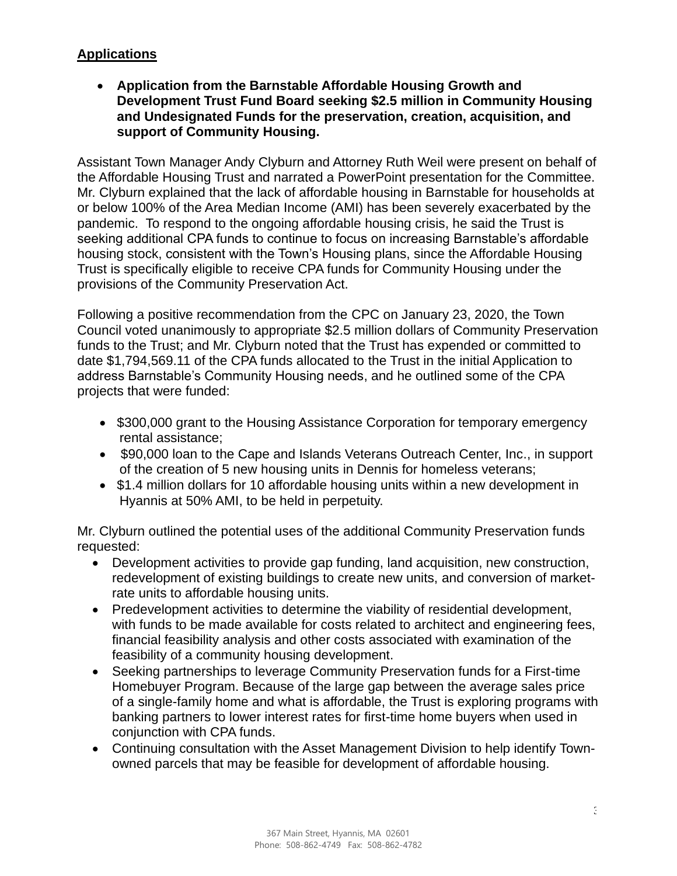# **Applications**

• **Application from the Barnstable Affordable Housing Growth and Development Trust Fund Board seeking \$2.5 million in Community Housing and Undesignated Funds for the preservation, creation, acquisition, and support of Community Housing.**

Assistant Town Manager Andy Clyburn and Attorney Ruth Weil were present on behalf of the Affordable Housing Trust and narrated a PowerPoint presentation for the Committee. Mr. Clyburn explained that the lack of affordable housing in Barnstable for households at or below 100% of the Area Median Income (AMI) has been severely exacerbated by the pandemic. To respond to the ongoing affordable housing crisis, he said the Trust is seeking additional CPA funds to continue to focus on increasing Barnstable's affordable housing stock, consistent with the Town's Housing plans, since the Affordable Housing Trust is specifically eligible to receive CPA funds for Community Housing under the provisions of the Community Preservation Act.

Following a positive recommendation from the CPC on January 23, 2020, the Town Council voted unanimously to appropriate \$2.5 million dollars of Community Preservation funds to the Trust; and Mr. Clyburn noted that the Trust has expended or committed to date \$1,794,569.11 of the CPA funds allocated to the Trust in the initial Application to address Barnstable's Community Housing needs, and he outlined some of the CPA projects that were funded:

- \$300,000 grant to the Housing Assistance Corporation for temporary emergency rental assistance;
- \$90,000 loan to the Cape and Islands Veterans Outreach Center, Inc., in support of the creation of 5 new housing units in Dennis for homeless veterans;
- \$1.4 million dollars for 10 affordable housing units within a new development in Hyannis at 50% AMI, to be held in perpetuity.

Mr. Clyburn outlined the potential uses of the additional Community Preservation funds requested:

- Development activities to provide gap funding, land acquisition, new construction, redevelopment of existing buildings to create new units, and conversion of marketrate units to affordable housing units.
- Predevelopment activities to determine the viability of residential development, with funds to be made available for costs related to architect and engineering fees, financial feasibility analysis and other costs associated with examination of the feasibility of a community housing development.
- Seeking partnerships to leverage Community Preservation funds for a First-time Homebuyer Program. Because of the large gap between the average sales price of a single-family home and what is affordable, the Trust is exploring programs with banking partners to lower interest rates for first-time home buyers when used in conjunction with CPA funds.
- Continuing consultation with the Asset Management Division to help identify Townowned parcels that may be feasible for development of affordable housing.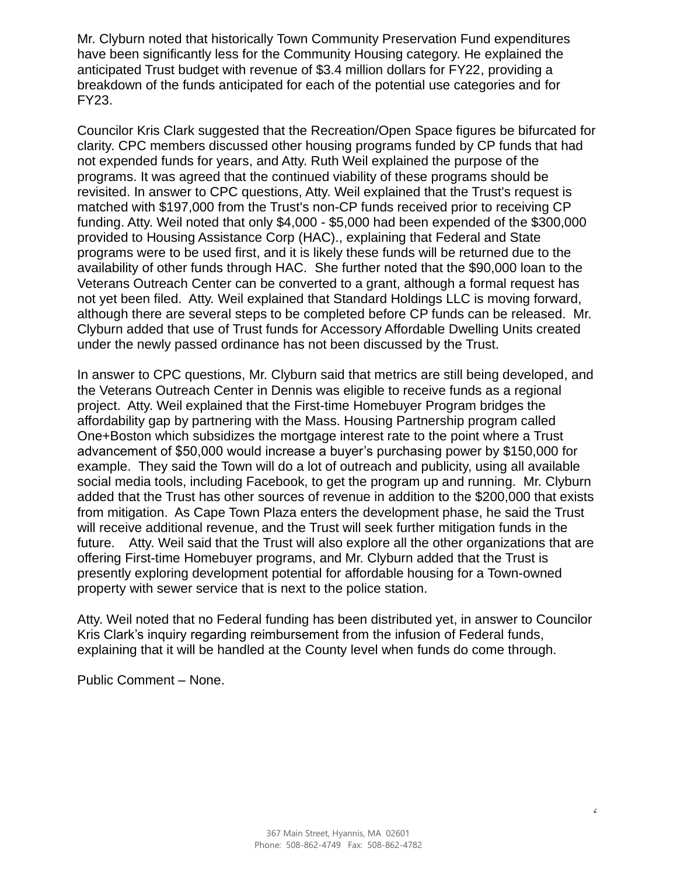Mr. Clyburn noted that historically Town Community Preservation Fund expenditures have been significantly less for the Community Housing category. He explained the anticipated Trust budget with revenue of \$3.4 million dollars for FY22, providing a breakdown of the funds anticipated for each of the potential use categories and for FY23.

Councilor Kris Clark suggested that the Recreation/Open Space figures be bifurcated for clarity. CPC members discussed other housing programs funded by CP funds that had not expended funds for years, and Atty. Ruth Weil explained the purpose of the programs. It was agreed that the continued viability of these programs should be revisited. In answer to CPC questions, Atty. Weil explained that the Trust's request is matched with \$197,000 from the Trust's non-CP funds received prior to receiving CP funding. Atty. Weil noted that only \$4,000 - \$5,000 had been expended of the \$300,000 provided to Housing Assistance Corp (HAC)., explaining that Federal and State programs were to be used first, and it is likely these funds will be returned due to the availability of other funds through HAC. She further noted that the \$90,000 loan to the Veterans Outreach Center can be converted to a grant, although a formal request has not yet been filed. Atty. Weil explained that Standard Holdings LLC is moving forward, although there are several steps to be completed before CP funds can be released. Mr. Clyburn added that use of Trust funds for Accessory Affordable Dwelling Units created under the newly passed ordinance has not been discussed by the Trust.

In answer to CPC questions, Mr. Clyburn said that metrics are still being developed, and the Veterans Outreach Center in Dennis was eligible to receive funds as a regional project. Atty. Weil explained that the First-time Homebuyer Program bridges the affordability gap by partnering with the Mass. Housing Partnership program called One+Boston which subsidizes the mortgage interest rate to the point where a Trust advancement of \$50,000 would increase a buyer's purchasing power by \$150,000 for example. They said the Town will do a lot of outreach and publicity, using all available social media tools, including Facebook, to get the program up and running. Mr. Clyburn added that the Trust has other sources of revenue in addition to the \$200,000 that exists from mitigation. As Cape Town Plaza enters the development phase, he said the Trust will receive additional revenue, and the Trust will seek further mitigation funds in the future. Atty. Weil said that the Trust will also explore all the other organizations that are offering First-time Homebuyer programs, and Mr. Clyburn added that the Trust is presently exploring development potential for affordable housing for a Town-owned property with sewer service that is next to the police station.

Atty. Weil noted that no Federal funding has been distributed yet, in answer to Councilor Kris Clark's inquiry regarding reimbursement from the infusion of Federal funds, explaining that it will be handled at the County level when funds do come through.

Public Comment – None.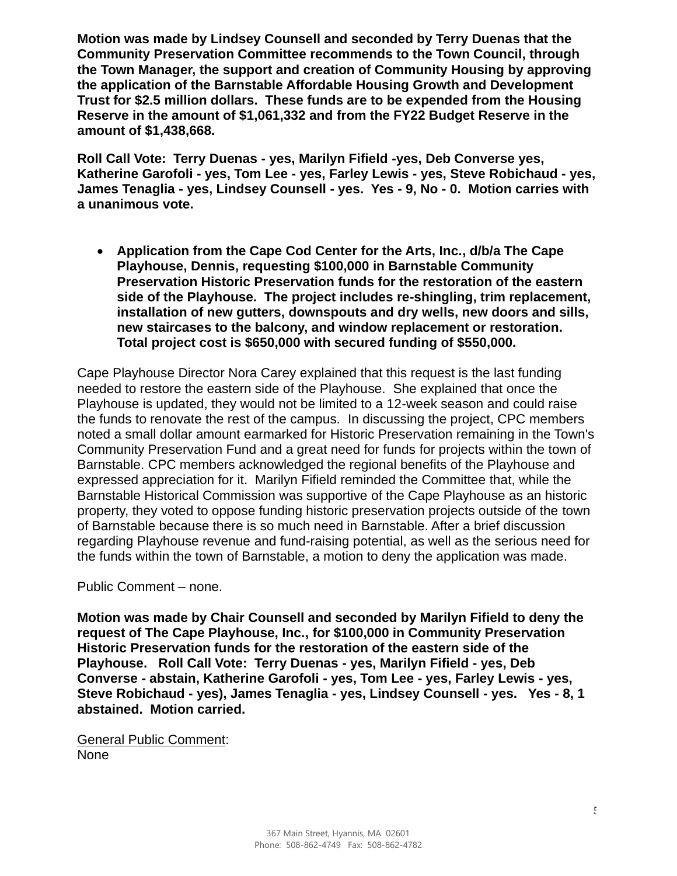**Motion was made by Lindsey Counsell and seconded by Terry Duenas that the Community Preservation Committee recommends to the Town Council, through the Town Manager, the support and creation of Community Housing by approving the application of the Barnstable Affordable Housing Growth and Development Trust for \$2.5 million dollars. These funds are to be expended from the Housing Reserve in the amount of \$1,061,332 and from the FY22 Budget Reserve in the amount of \$1,438,668.** 

**Roll Call Vote: Terry Duenas - yes, Marilyn Fifield -yes, Deb Converse yes, Katherine Garofoli - yes, Tom Lee - yes, Farley Lewis - yes, Steve Robichaud - yes, James Tenaglia - yes, Lindsey Counsell - yes. Yes - 9, No - 0. Motion carries with a unanimous vote.**

• **Application from the Cape Cod Center for the Arts, Inc., d/b/a The Cape Playhouse, Dennis, requesting \$100,000 in Barnstable Community Preservation Historic Preservation funds for the restoration of the eastern side of the Playhouse. The project includes re-shingling, trim replacement, installation of new gutters, downspouts and dry wells, new doors and sills, new staircases to the balcony, and window replacement or restoration. Total project cost is \$650,000 with secured funding of \$550,000.**

Cape Playhouse Director Nora Carey explained that this request is the last funding needed to restore the eastern side of the Playhouse. She explained that once the Playhouse is updated, they would not be limited to a 12-week season and could raise the funds to renovate the rest of the campus. In discussing the project, CPC members noted a small dollar amount earmarked for Historic Preservation remaining in the Town's Community Preservation Fund and a great need for funds for projects within the town of Barnstable. CPC members acknowledged the regional benefits of the Playhouse and expressed appreciation for it. Marilyn Fifield reminded the Committee that, while the Barnstable Historical Commission was supportive of the Cape Playhouse as an historic property, they voted to oppose funding historic preservation projects outside of the town of Barnstable because there is so much need in Barnstable. After a brief discussion regarding Playhouse revenue and fund-raising potential, as well as the serious need for the funds within the town of Barnstable, a motion to deny the application was made.

Public Comment – none.

**Motion was made by Chair Counsell and seconded by Marilyn Fifield to deny the request of The Cape Playhouse, Inc., for \$100,000 in Community Preservation Historic Preservation funds for the restoration of the eastern side of the Playhouse. Roll Call Vote: Terry Duenas - yes, Marilyn Fifield - yes, Deb Converse - abstain, Katherine Garofoli - yes, Tom Lee - yes, Farley Lewis - yes, Steve Robichaud - yes), James Tenaglia - yes, Lindsey Counsell - yes. Yes - 8, 1 abstained. Motion carried.**

General Public Comment: None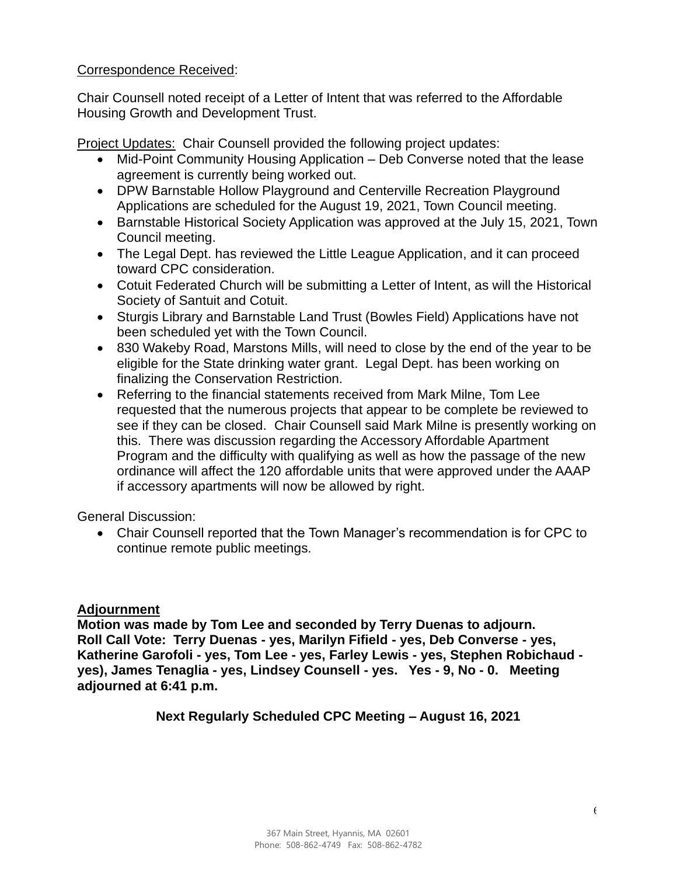## Correspondence Received:

Chair Counsell noted receipt of a Letter of Intent that was referred to the Affordable Housing Growth and Development Trust.

Project Updates: Chair Counsell provided the following project updates:

- Mid-Point Community Housing Application Deb Converse noted that the lease agreement is currently being worked out.
- DPW Barnstable Hollow Playground and Centerville Recreation Playground Applications are scheduled for the August 19, 2021, Town Council meeting.
- Barnstable Historical Society Application was approved at the July 15, 2021, Town Council meeting.
- The Legal Dept. has reviewed the Little League Application, and it can proceed toward CPC consideration.
- Cotuit Federated Church will be submitting a Letter of Intent, as will the Historical Society of Santuit and Cotuit.
- Sturgis Library and Barnstable Land Trust (Bowles Field) Applications have not been scheduled yet with the Town Council.
- 830 Wakeby Road, Marstons Mills, will need to close by the end of the year to be eligible for the State drinking water grant. Legal Dept. has been working on finalizing the Conservation Restriction.
- Referring to the financial statements received from Mark Milne, Tom Lee requested that the numerous projects that appear to be complete be reviewed to see if they can be closed. Chair Counsell said Mark Milne is presently working on this. There was discussion regarding the Accessory Affordable Apartment Program and the difficulty with qualifying as well as how the passage of the new ordinance will affect the 120 affordable units that were approved under the AAAP if accessory apartments will now be allowed by right.

General Discussion:

• Chair Counsell reported that the Town Manager's recommendation is for CPC to continue remote public meetings.

# **Adjournment**

**Motion was made by Tom Lee and seconded by Terry Duenas to adjourn. Roll Call Vote: Terry Duenas - yes, Marilyn Fifield - yes, Deb Converse - yes, Katherine Garofoli - yes, Tom Lee - yes, Farley Lewis - yes, Stephen Robichaud yes), James Tenaglia - yes, Lindsey Counsell - yes. Yes - 9, No - 0. Meeting adjourned at 6:41 p.m.**

**Next Regularly Scheduled CPC Meeting – August 16, 2021**